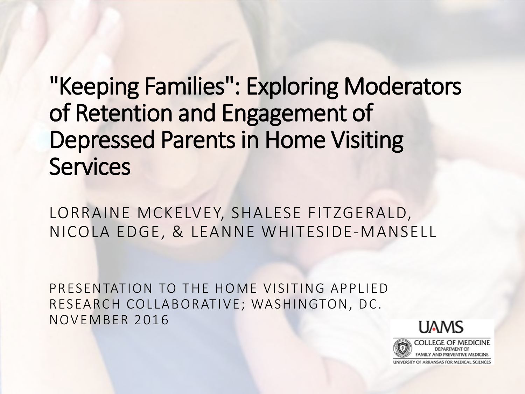"Keeping Families": Exploring Moderators of Retention and Engagement of Depressed Parents in Home Visiting **Services** 

LORRAINE MCKELVEY, SHALESE FITZGERALD, NICOLA EDGE, & LEANNE WHITESIDE-MANSELL

PRESENTATION TO THE HOME VISITING APPLIED RESEARCH COLLABORATIVE; WASHINGTON, DC. NOVEMBER 2016

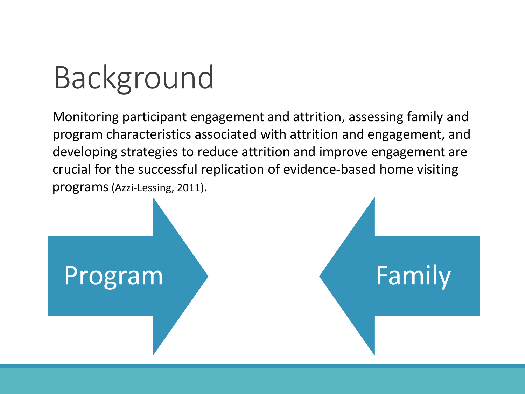### Background

Monitoring participant engagement and attrition, assessing family and program characteristics associated with attrition and engagement, and developing strategies to reduce attrition and improve engagement are crucial for the successful replication of evidence-based home visiting programs(Azzi-Lessing, 2011).

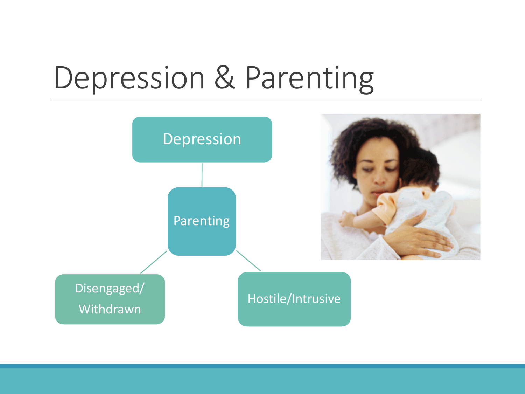#### Depression & Parenting

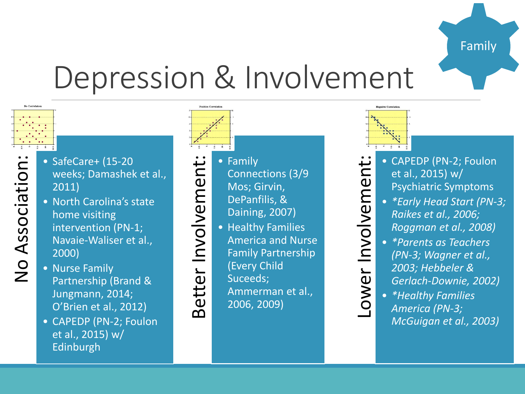

#### Depression & Involvement

No Correlation

- weeks; Damashek et al., 2011) • North Carolina's state
- SafeCare+ (15-20<br>
weeks; Damashel<br>
2011)<br>
 North Carolina's s<br>
home visiting<br>
intervention (PN-<br>
Navaie-Waliser et<br>
2000)<br>
 Nurse Family<br>
Partnership (Pran home visiting intervention (PN-1; Navaie-Waliser et al., 2000)
	- Nurse Family Partnership (Brand & Jungmann, 2014; O'Brien et al., 2012)
	- CAPEDP (PN-2; Foulon et al., 2015) w/ Edinburgh

- Connections (3/9
- Mos; Girvin,
- DePanfilis, &
- Daining, 2007)
- Healthy Families
- Examily<br>
Better View Conner<br>
Mos; C<br>
DePant<br>
Dainin<sub>i</sub><br>
DePant<br>
DePant<br>
DePant<br>
Pamily<br>
Americ<br>
Family<br>
(Every Suceed Amme<br>
2006, 2 America and Nurse Family Partnership
	- (Every Child
	- Suceeds;
	- Ammerman et al.,
	- 2006, 2009)



- et al., 2015) w/ Psychiatric Symptoms
- *\*Early Head Start (PN-3; Raikes et al., 2006; Roggman et al., 2008)*
- CAPEDP (PN-2; Foulon<br>
et al., 2015) w/<br>
Psychiatric Symptoms<br>
\*Early Head Start (PN-3<br>
Raikes et al., 2006;<br>
Roggman et al., 2008)<br>
\*Parents as Teachers<br>
(PN-3; Wagner et al., 2002)<br>
Carlach-Downie, 2002)<br>
\*Healthy Familie • *\*Parents as Teachers (PN-3; Wagner et al., 2003; Hebbeler & Gerlach-Downie, 2002)*
	- *\*Healthy Families America (PN-3; McGuigan et al., 2003)*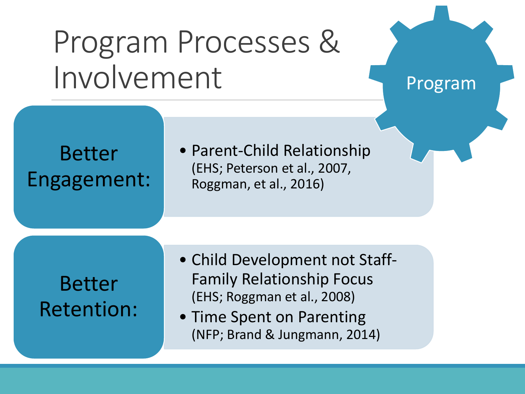#### Program Processes & Involvement

Program

Better Engagement: • Parent-Child Relationship (EHS; Peterson et al., 2007, Roggman, et al., 2016)

Better Retention:

- Child Development not Staff-Family Relationship Focus (EHS; Roggman et al., 2008)
- Time Spent on Parenting (NFP; Brand & Jungmann, 2014)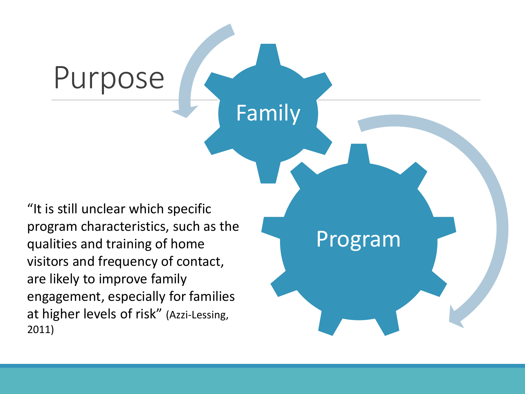"It is still unclear which specific program characteristics, such as the qualities and training of home visitors and frequency of contact, are likely to improve family engagement, especially for families at higher levels of risk" (Azzi-Lessing, 2011)

Purpose

Program Family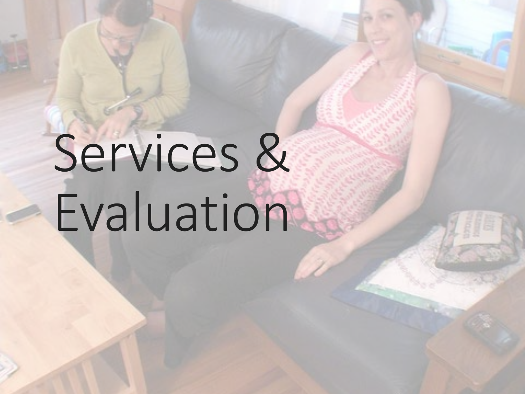# Services & Evaluation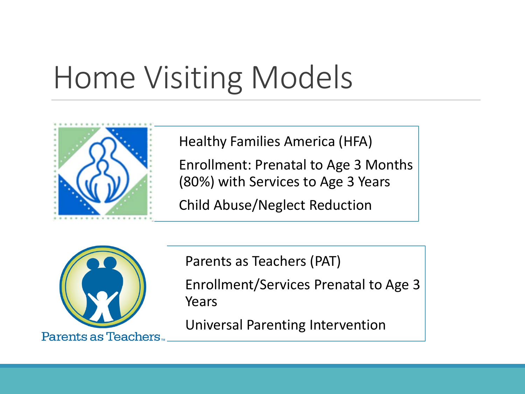### Home Visiting Models



Healthy Families America (HFA)

Enrollment: Prenatal to Age 3 Months (80%) with Services to Age 3 Years

Child Abuse/Neglect Reduction



Parents as Teachers (PAT)

Enrollment/Services Prenatal to Age 3 Years

Universal Parenting Intervention

Parents as Teachers.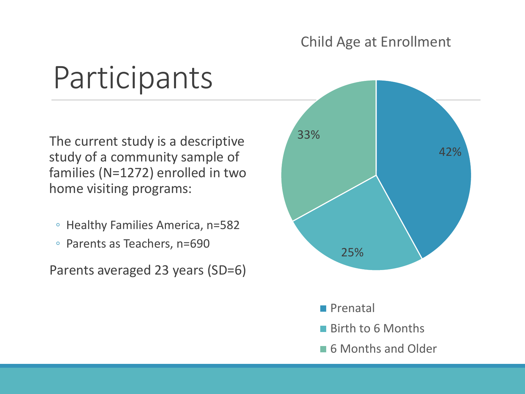#### Child Age at Enrollment

#### Participants

The current study is a descriptive study of a community sample of families (N=1272) enrolled in two home visiting programs:

- Healthy Families America, n=582
- Parents as Teachers, n=690

Parents averaged 23 years (SD=6)

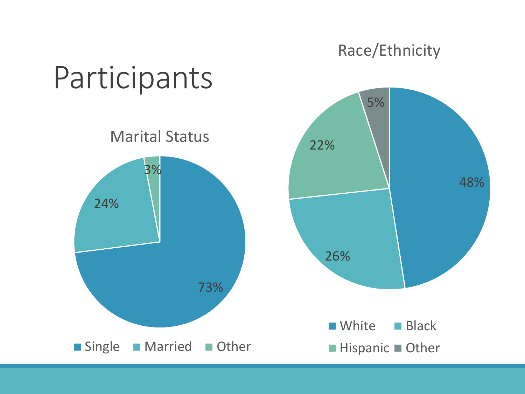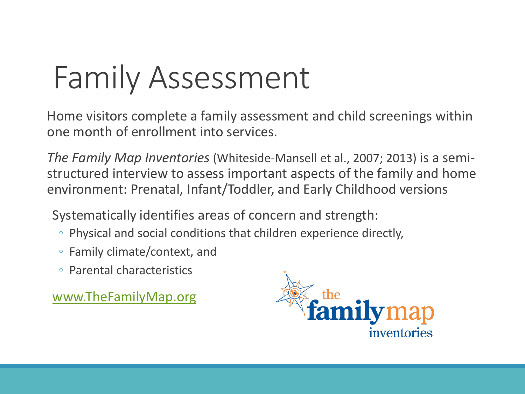#### Family Assessment

Home visitors complete a family assessment and child screenings within one month of enrollment into services.

*The Family Map Inventories* (Whiteside-Mansell et al., 2007; 2013) is a semistructured interview to assess important aspects of the family and home environment: Prenatal, Infant/Toddler, and Early Childhood versions

Systematically identifies areas of concern and strength:

- Physical and social conditions that children experience directly,
- Family climate/context, and
- Parental characteristics

[www.TheFamilyMap.org](http://www.thefamilymap.org/)

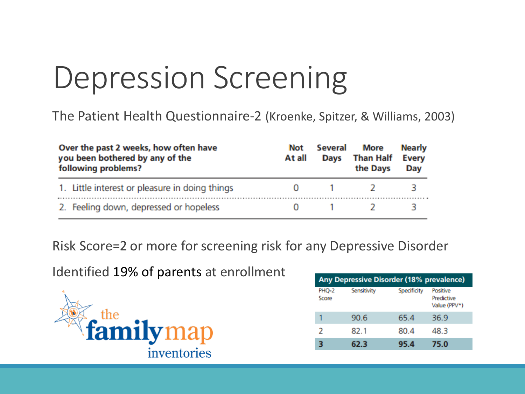### Depression Screening

#### The Patient Health Questionnaire-2 (Kroenke, Spitzer, & Williams, 2003)

| Over the past 2 weeks, how often have<br>you been bothered by any of the<br>following problems? | <b>Not</b><br>At all | Several<br><b>Days</b> | <b>More</b><br><b>Than Half</b><br>the Days | <b>Nearly</b><br><b>Every</b><br>Day |
|-------------------------------------------------------------------------------------------------|----------------------|------------------------|---------------------------------------------|--------------------------------------|
| 1. Little interest or pleasure in doing things                                                  |                      |                        |                                             |                                      |
| 2. Feeling down, depressed or hopeless                                                          |                      |                        |                                             |                                      |

Risk Score=2 or more for screening risk for any Depressive Disorder

Identified 19% of parents at enrollment



| Any Depressive Disorder (18% prevalence) |             |             |                                        |  |  |
|------------------------------------------|-------------|-------------|----------------------------------------|--|--|
| <b>PHO-2</b><br>Score                    | Sensitivity | Specificity | Positive<br>Predictive<br>Value (PPV*) |  |  |
|                                          | 90.6        | 65.4        | 36.9                                   |  |  |
| 2                                        | 82.1        | 80.4        | 48.3                                   |  |  |
|                                          | 62.3        | 95.4        | 75.0                                   |  |  |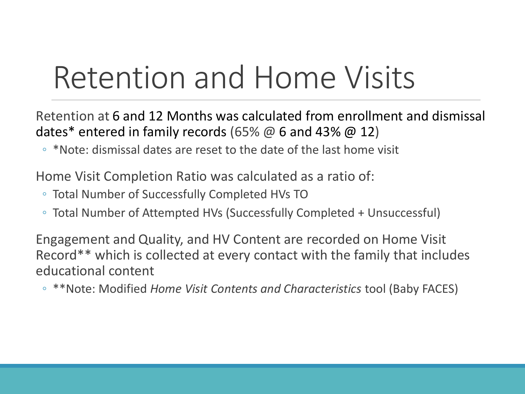#### Retention and Home Visits

Retention at 6 and 12 Months was calculated from enrollment and dismissal dates\* entered in family records (65%  $\omega$  6 and 43%  $\omega$  12)

◦ \*Note: dismissal dates are reset to the date of the last home visit

Home Visit Completion Ratio was calculated as a ratio of:

- Total Number of Successfully Completed HVs TO
- Total Number of Attempted HVs (Successfully Completed + Unsuccessful)

Engagement and Quality, and HV Content are recorded on Home Visit Record\*\* which is collected at every contact with the family that includes educational content

◦ \*\*Note: Modified *Home Visit Contents and Characteristics* tool (Baby FACES)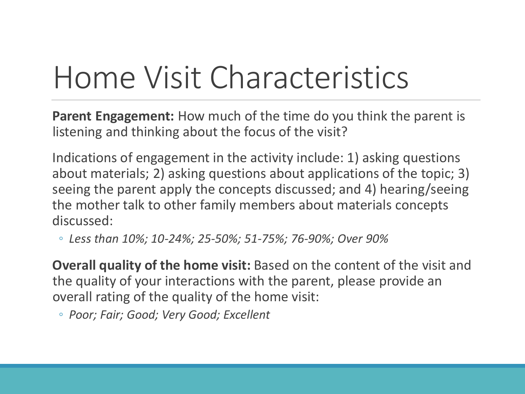#### Home Visit Characteristics

**Parent Engagement:** How much of the time do you think the parent is listening and thinking about the focus of the visit?

Indications of engagement in the activity include: 1) asking questions about materials; 2) asking questions about applications of the topic; 3) seeing the parent apply the concepts discussed; and 4) hearing/seeing the mother talk to other family members about materials concepts discussed:

◦ *Less than 10%; 10-24%; 25-50%; 51-75%; 76-90%; Over 90%*

**Overall quality of the home visit:** Based on the content of the visit and the quality of your interactions with the parent, please provide an overall rating of the quality of the home visit:

◦ *Poor; Fair; Good; Very Good; Excellent*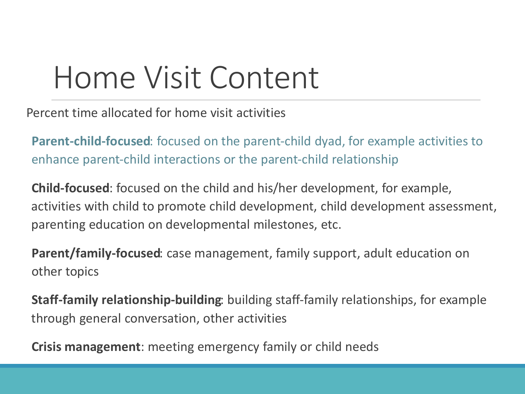#### Home Visit Content

Percent time allocated for home visit activities

**Parent‐child‐focused**: focused on the parent-child dyad, for example activities to enhance parent-child interactions or the parent-child relationship

**Child‐focused**: focused on the child and his/her development, for example, activities with child to promote child development, child development assessment, parenting education on developmental milestones, etc.

**Parent/family‐focused**: case management, family support, adult education on other topics

**Staff‐family relationship‐building**: building staff-family relationships, for example through general conversation, other activities

**Crisis management**: meeting emergency family or child needs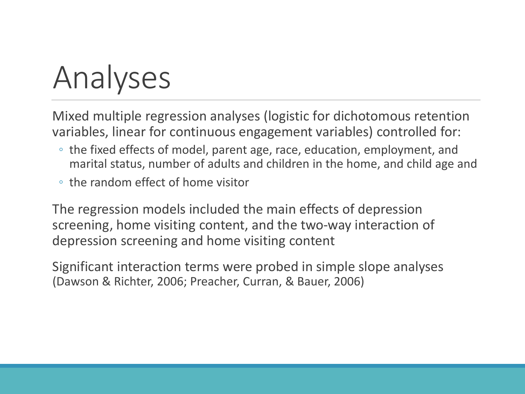### Analyses

Mixed multiple regression analyses (logistic for dichotomous retention variables, linear for continuous engagement variables) controlled for:

- the fixed effects of model, parent age, race, education, employment, and marital status, number of adults and children in the home, and child age and
- the random effect of home visitor

The regression models included the main effects of depression screening, home visiting content, and the two-way interaction of depression screening and home visiting content

Significant interaction terms were probed in simple slope analyses (Dawson & Richter, 2006; Preacher, Curran, & Bauer, 2006)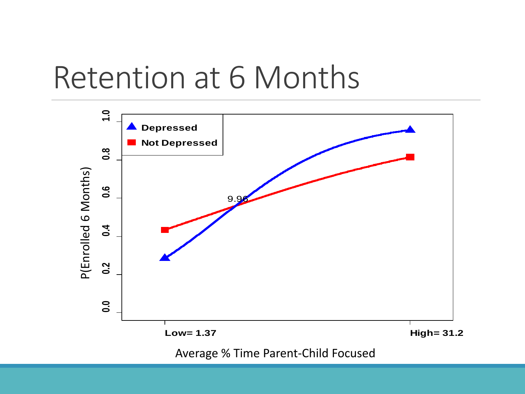#### Retention at 6 Months

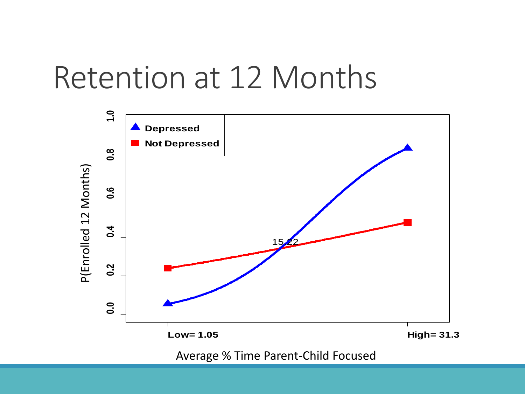#### Retention at 12 Months

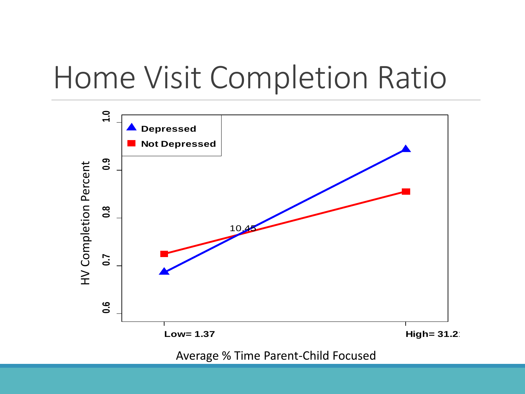#### Home Visit Completion Ratio

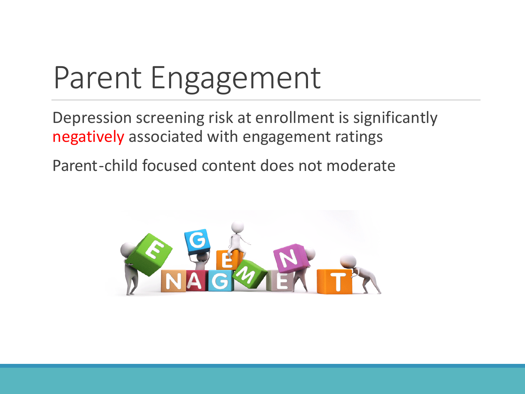### Parent Engagement

Depression screening risk at enrollment is significantly negatively associated with engagement ratings

Parent-child focused content does not moderate

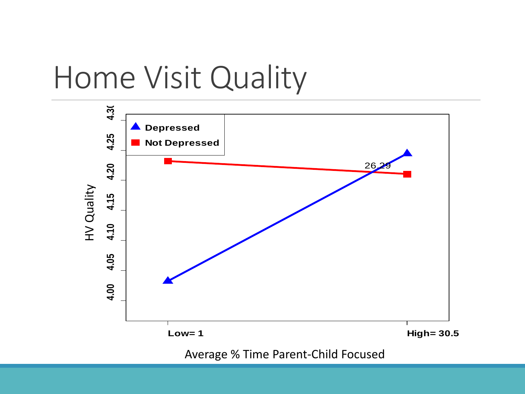#### Home Visit Quality

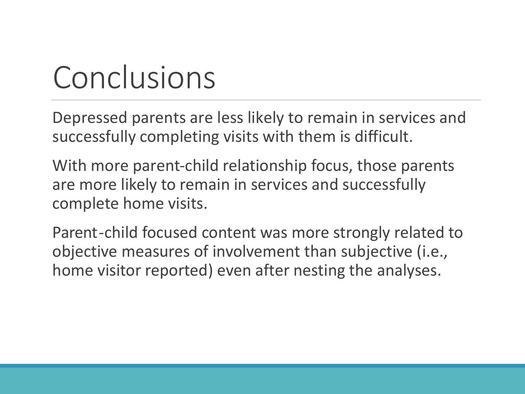### Conclusions

Depressed parents are less likely to remain in services and successfully completing visits with them is difficult.

With more parent-child relationship focus, those parents are more likely to remain in services and successfully complete home visits.

Parent-child focused content was more strongly related to objective measures of involvement than subjective (i.e., home visitor reported) even after nesting the analyses.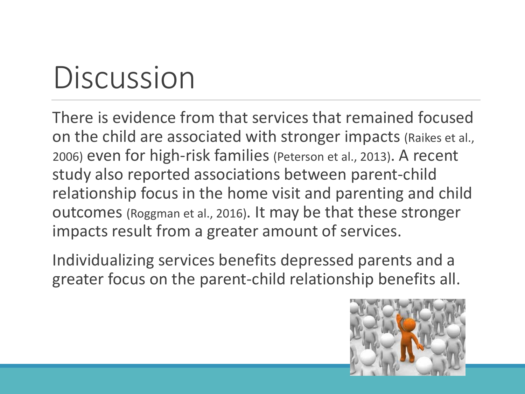### **Discussion**

There is evidence from that services that remained focused on the child are associated with stronger impacts (Raikes et al., 2006) even for high-risk families (Peterson et al., 2013). A recent study also reported associations between parent-child relationship focus in the home visit and parenting and child outcomes (Roggman et al., 2016). It may be that these stronger impacts result from a greater amount of services.

Individualizing services benefits depressed parents and a greater focus on the parent-child relationship benefits all.